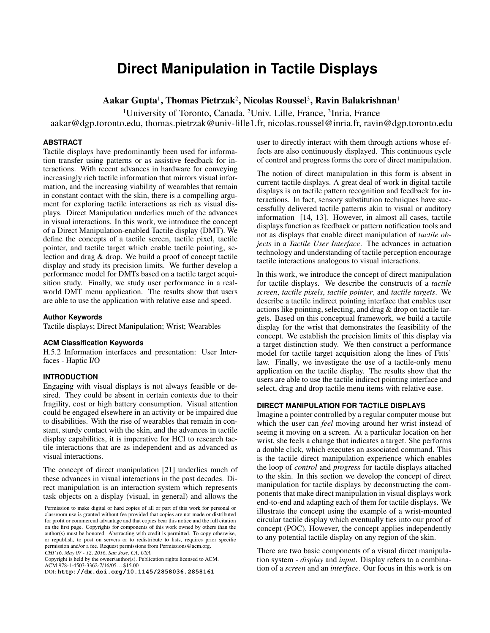# **Direct Manipulation in Tactile Displays**

Aakar Gupta<sup>1</sup>, Thomas Pietrzak<sup>2</sup>, Nicolas Roussel<sup>3</sup>, Ravin Balakrishnan<sup>1</sup>

<sup>1</sup>University of Toronto, Canada, <sup>2</sup>Univ. Lille, France, <sup>3</sup> Inria, France

aakar@dgp.toronto.edu, thomas.pietrzak@univ-lille1.fr, nicolas.roussel@inria.fr, ravin@dgp.toronto.edu

# **ABSTRACT**

Tactile displays have predominantly been used for information transfer using patterns or as assistive feedback for interactions. With recent advances in hardware for conveying increasingly rich tactile information that mirrors visual information, and the increasing viability of wearables that remain in constant contact with the skin, there is a compelling argument for exploring tactile interactions as rich as visual displays. Direct Manipulation underlies much of the advances in visual interactions. In this work, we introduce the concept of a Direct Manipulation-enabled Tactile display (DMT). We define the concepts of a tactile screen, tactile pixel, tactile pointer, and tactile target which enable tactile pointing, selection and drag & drop. We build a proof of concept tactile display and study its precision limits. We further develop a performance model for DMTs based on a tactile target acquisition study. Finally, we study user performance in a realworld DMT menu application. The results show that users are able to use the application with relative ease and speed.

# **Author Keywords**

Tactile displays; Direct Manipulation; Wrist; Wearables

#### **ACM Classification Keywords**

H.5.2 Information interfaces and presentation: User Interfaces - Haptic I/O

## **INTRODUCTION**

Engaging with visual displays is not always feasible or desired. They could be absent in certain contexts due to their fragility, cost or high battery consumption. Visual attention could be engaged elsewhere in an activity or be impaired due to disabilities. With the rise of wearables that remain in constant, sturdy contact with the skin, and the advances in tactile display capabilities, it is imperative for HCI to research tactile interactions that are as independent and as advanced as visual interactions.

The concept of direct manipulation [\[21\]](#page-10-0) underlies much of these advances in visual interactions in the past decades. Direct manipulation is an interaction system which represents task objects on a display (visual, in general) and allows the

Copyright is held by the owner/author(s). Publication rights licensed to ACM. ACM 978-1-4503-3362-7/16/05. . . \$15.00

DOI: **<http://dx.doi.org/10.1145/2858036.2858161>**

user to directly interact with them through actions whose effects are also continuously displayed. This continuous cycle of control and progress forms the core of direct manipulation.

The notion of direct manipulation in this form is absent in current tactile displays. A great deal of work in digital tactile displays is on tactile pattern recognition and feedback for interactions. In fact, sensory substitution techniques have successfully delivered tactile patterns akin to visual or auditory information [\[14,](#page-10-1) [13\]](#page-10-2). However, in almost all cases, tactile displays function as feedback or pattern notification tools and not as displays that enable direct manipulation of *tactile objects* in a *Tactile User Interface*. The advances in actuation technology and understanding of tactile perception encourage tactile interactions analogous to visual interactions.

In this work, we introduce the concept of direct manipulation for tactile displays. We describe the constructs of a *tactile screen*, *tactile pixels*, *tactile pointer*, and *tactile targets*. We describe a tactile indirect pointing interface that enables user actions like pointing, selecting, and drag & drop on tactile targets. Based on this conceptual framework, we build a tactile display for the wrist that demonstrates the feasibility of the concept. We establish the precision limits of this display via a target distinction study. We then construct a performance model for tactile target acquisition along the lines of Fitts' law. Finally, we investigate the use of a tactile-only menu application on the tactile display. The results show that the users are able to use the tactile indirect pointing interface and select, drag and drop tactile menu items with relative ease.

#### **DIRECT MANIPULATION FOR TACTILE DISPLAYS**

Imagine a pointer controlled by a regular computer mouse but which the user can *feel* moving around her wrist instead of seeing it moving on a screen. At a particular location on her wrist, she feels a change that indicates a target. She performs a double click, which executes an associated command. This is the tactile direct manipulation experience which enables the loop of *control* and *progress* for tactile displays attached to the skin. In this section we develop the concept of direct manipulation for tactile displays by deconstructing the components that make direct manipulation in visual displays work end-to-end and adapting each of them for tactile displays. We illustrate the concept using the example of a wrist-mounted circular tactile display which eventually ties into our proof of concept (POC). However, the concept applies independently to any potential tactile display on any region of the skin.

There are two basic components of a visual direct manipulation system - *display* and *input*. Display refers to a combination of a *screen* and an *interface*. Our focus in this work is on

Permission to make digital or hard copies of all or part of this work for personal or classroom use is granted without fee provided that copies are not made or distributed for profit or commercial advantage and that copies bear this notice and the full citation on the first page. Copyrights for components of this work owned by others than the author(s) must be honored. Abstracting with credit is permitted. To copy otherwise, or republish, to post on servers or to redistribute to lists, requires prior specific permission and/or a fee. Request permissions from Permissions@acm.org. *CHI'16, May 07 - 12, 2016, San Jose, CA, USA*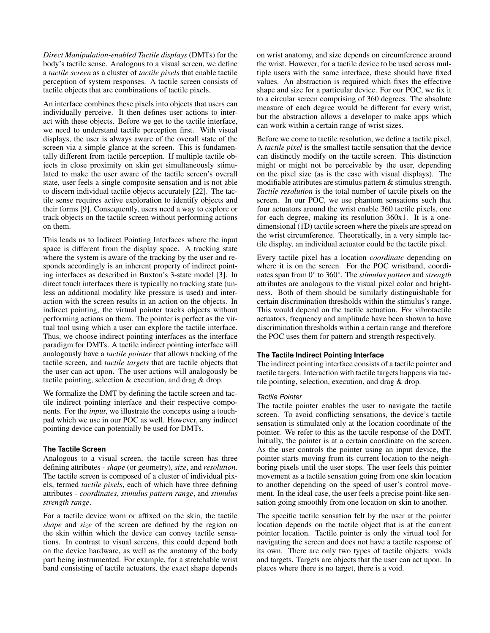*Direct Manipulation-enabled Tactile displays* (DMTs) for the body's tactile sense. Analogous to a visual screen, we define a *tactile screen* as a cluster of *tactile pixels* that enable tactile perception of system responses. A tactile screen consists of tactile objects that are combinations of tactile pixels.

An interface combines these pixels into objects that users can individually perceive. It then defines user actions to interact with these objects. Before we get to the tactile interface, we need to understand tactile perception first. With visual displays, the user is always aware of the overall state of the screen via a simple glance at the screen. This is fundamentally different from tactile perception. If multiple tactile objects in close proximity on skin get simultaneously stimulated to make the user aware of the tactile screen's overall state, user feels a single composite sensation and is not able to discern individual tactile objects accurately [\[22\]](#page-10-3). The tactile sense requires active exploration to identify objects and their forms [\[9\]](#page-10-4). Consequently, users need a way to explore or track objects on the tactile screen without performing actions on them.

This leads us to Indirect Pointing Interfaces where the input space is different from the display space. A tracking state where the system is aware of the tracking by the user and responds accordingly is an inherent property of indirect pointing interfaces as described in Buxton's 3-state model [\[3\]](#page-10-5). In direct touch interfaces there is typically no tracking state (unless an additional modality like pressure is used) and interaction with the screen results in an action on the objects. In indirect pointing, the virtual pointer tracks objects without performing actions on them. The pointer is perfect as the virtual tool using which a user can explore the tactile interface. Thus, we choose indirect pointing interfaces as the interface paradigm for DMTs. A tactile indirect pointing interface will analogously have a *tactile pointer* that allows tracking of the tactile screen, and *tactile targets* that are tactile objects that the user can act upon. The user actions will analogously be tactile pointing, selection & execution, and drag & drop.

We formalize the DMT by defining the tactile screen and tactile indirect pointing interface and their respective components. For the *input*, we illustrate the concepts using a touchpad which we use in our POC as well. However, any indirect pointing device can potentially be used for DMTs.

## **The Tactile Screen**

Analogous to a visual screen, the tactile screen has three defining attributes - *shape* (or geometry), *size*, and *resolution*. The tactile screen is composed of a cluster of individual pixels, termed *tactile pixels*, each of which have three defining attributes - *coordinates*, *stimulus pattern range*, and *stimulus strength range*.

For a tactile device worn or affixed on the skin, the tactile *shape* and *size* of the screen are defined by the region on the skin within which the device can convey tactile sensations. In contrast to visual screens, this could depend both on the device hardware, as well as the anatomy of the body part being instrumented. For example, for a stretchable wrist band consisting of tactile actuators, the exact shape depends

on wrist anatomy, and size depends on circumference around the wrist. However, for a tactile device to be used across multiple users with the same interface, these should have fixed values. An abstraction is required which fixes the effective shape and size for a particular device. For our POC, we fix it to a circular screen comprising of 360 degrees. The absolute measure of each degree would be different for every wrist, but the abstraction allows a developer to make apps which can work within a certain range of wrist sizes.

Before we come to tactile resolution, we define a tactile pixel. A *tactile pixel* is the smallest tactile sensation that the device can distinctly modify on the tactile screen. This distinction might or might not be perceivable by the user, depending on the pixel size (as is the case with visual displays). The modifiable attributes are stimulus pattern & stimulus strength. *Tactile resolution* is the total number of tactile pixels on the screen. In our POC, we use phantom sensations such that four actuators around the wrist enable 360 tactile pixels, one for each degree, making its resolution 360x1. It is a onedimensional (1D) tactile screen where the pixels are spread on the wrist circumference. Theoretically, in a very simple tactile display, an individual actuator could be the tactile pixel.

Every tactile pixel has a location *coordinate* depending on where it is on the screen. For the POC wristband, coordinates span from 0° to 360°. The *stimulus pattern* and *strength* attributes are analogous to the visual pixel color and brightness. Both of them should be similarly distinguishable for certain discrimination thresholds within the stimulus's range. This would depend on the tactile actuation. For vibrotactile actuators, frequency and amplitude have been shown to have discrimination thresholds within a certain range and therefore the POC uses them for pattern and strength respectively.

# **The Tactile Indirect Pointing Interface**

The indirect pointing interface consists of a tactile pointer and tactile targets. Interaction with tactile targets happens via tactile pointing, selection, execution, and drag & drop.

## *Tactile Pointer*

The tactile pointer enables the user to navigate the tactile screen. To avoid conflicting sensations, the device's tactile sensation is stimulated only at the location coordinate of the pointer. We refer to this as the tactile response of the DMT. Initially, the pointer is at a certain coordinate on the screen. As the user controls the pointer using an input device, the pointer starts moving from its current location to the neighboring pixels until the user stops. The user feels this pointer movement as a tactile sensation going from one skin location to another depending on the speed of user's control movement. In the ideal case, the user feels a precise point-like sensation going smoothly from one location on skin to another.

The specific tactile sensation felt by the user at the pointer location depends on the tactile object that is at the current pointer location. Tactile pointer is only the virtual tool for navigating the screen and does not have a tactile response of its own. There are only two types of tactile objects: voids and targets. Targets are objects that the user can act upon. In places where there is no target, there is a void.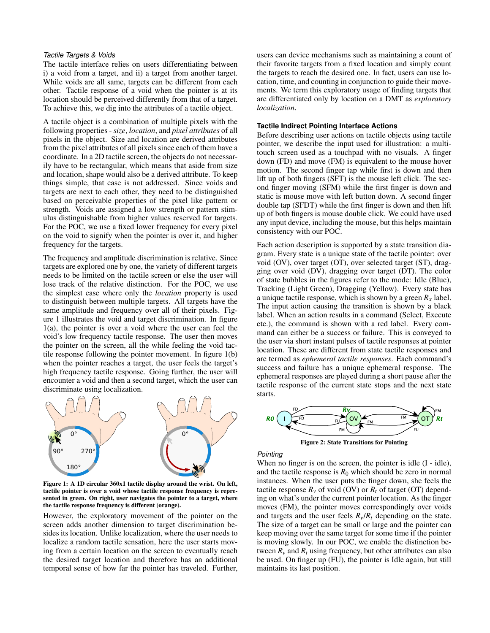#### *Tactile Targets & Voids*

The tactile interface relies on users differentiating between i) a void from a target, and ii) a target from another target. While voids are all same, targets can be different from each other. Tactile response of a void when the pointer is at its location should be perceived differently from that of a target. To achieve this, we dig into the attributes of a tactile object.

A tactile object is a combination of multiple pixels with the following properties - *size*, *location*, and *pixel attributes* of all pixels in the object. Size and location are derived attributes from the pixel attributes of all pixels since each of them have a coordinate. In a 2D tactile screen, the objects do not necessarily have to be rectangular, which means that aside from size and location, shape would also be a derived attribute. To keep things simple, that case is not addressed. Since voids and targets are next to each other, they need to be distinguished based on perceivable properties of the pixel like pattern or strength. Voids are assigned a low strength or pattern stimulus distinguishable from higher values reserved for targets. For the POC, we use a fixed lower frequency for every pixel on the void to signify when the pointer is over it, and higher frequency for the targets.

The frequency and amplitude discrimination is relative. Since targets are explored one by one, the variety of different targets needs to be limited on the tactile screen or else the user will lose track of the relative distinction. For the POC, we use the simplest case where only the *location* property is used to distinguish between multiple targets. All targets have the same amplitude and frequency over all of their pixels. Figure [1](#page-2-0) illustrates the void and target discrimination. In figure [1\(](#page-2-0)a), the pointer is over a void where the user can feel the void's low frequency tactile response. The user then moves the pointer on the screen, all the while feeling the void tactile response following the pointer movement. In figure [1\(](#page-2-0)b) when the pointer reaches a target, the user feels the target's high frequency tactile response. Going further, the user will encounter a void and then a second target, which the user can discriminate using localization.

<span id="page-2-0"></span>

Figure 1: A 1D circular 360x1 tactile display around the wrist. On left, tactile pointer is over a void whose tactile response frequency is represented in green. On right, user navigates the pointer to a target, where the tactile response frequency is different (orange).

However, the exploratory movement of the pointer on the screen adds another dimension to target discrimination besides its location. Unlike localization, where the user needs to localize a random tactile sensation, here the user starts moving from a certain location on the screen to eventually reach the desired target location and therefore has an additional temporal sense of how far the pointer has traveled. Further, users can device mechanisms such as maintaining a count of their favorite targets from a fixed location and simply count the targets to reach the desired one. In fact, users can use location, time, and counting in conjunction to guide their movements. We term this exploratory usage of finding targets that are differentiated only by location on a DMT as *exploratory localization*.

#### **Tactile Indirect Pointing Interface Actions**

Before describing user actions on tactile objects using tactile pointer, we describe the input used for illustration: a multitouch screen used as a touchpad with no visuals. A finger down (FD) and move (FM) is equivalent to the mouse hover motion. The second finger tap while first is down and then lift up of both fingers (SFT) is the mouse left click. The second finger moving (SFM) while the first finger is down and static is mouse move with left button down. A second finger double tap (SFDT) while the first finger is down and then lift up of both fingers is mouse double click. We could have used any input device, including the mouse, but this helps maintain consistency with our POC.

Each action description is supported by a state transition diagram. Every state is a unique state of the tactile pointer: over void (OV), over target (OT), over selected target (ST), dragging over void (DV), dragging over target (DT). The color of state bubbles in the figures refer to the mode: Idle (Blue), Tracking (Light Green), Dragging (Yellow). Every state has a unique tactile response, which is shown by a green  $R<sub>x</sub>$  label. The input action causing the transition is shown by a black label. When an action results in a command (Select, Execute etc.), the command is shown with a red label. Every command can either be a success or failure. This is conveyed to the user via short instant pulses of tactile responses at pointer location. These are different from state tactile responses and are termed as *ephemeral tactile responses*. Each command's success and failure has a unique ephemeral response. The ephemeral responses are played during a short pause after the tactile response of the current state stops and the next state starts.



Figure 2: State Transitions for Pointing

*Pointing*

When no finger is on the screen, the pointer is idle (I - idle), and the tactile response is  $R_0$  which should be zero in normal instances. When the user puts the finger down, she feels the tactile response  $R_v$  of void (OV) or  $R_t$  of target (OT) depending on what's under the current pointer location. As the finger moves (FM), the pointer moves correspondingly over voids and targets and the user feels  $R_v/R_t$  depending on the state. The size of a target can be small or large and the pointer can keep moving over the same target for some time if the pointer is moving slowly. In our POC, we enable the distinction between  $R_v$  and  $R_t$  using frequency, but other attributes can also be used. On finger up (FU), the pointer is Idle again, but still maintains its last position.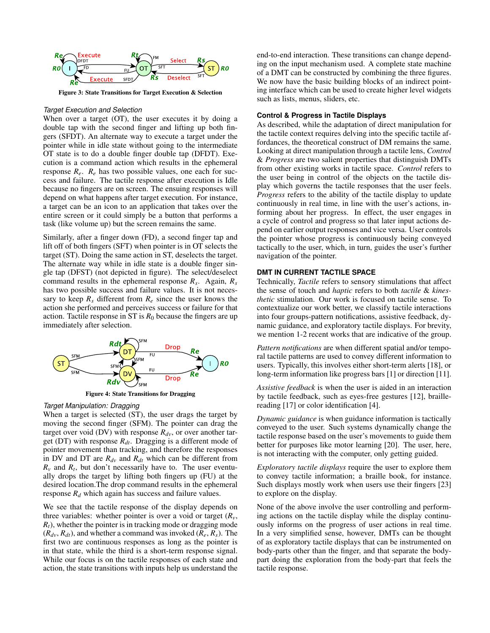

Figure 3: State Transitions for Target Execution & Selection

## *Target Execution and Selection*

When over a target (OT), the user executes it by doing a double tap with the second finger and lifting up both fingers (SFDT). An alternate way to execute a target under the pointer while in idle state without going to the intermediate OT state is to do a double finger double tap (DFDT). Execution is a command action which results in the ephemeral response  $R_e$ .  $R_e$  has two possible values, one each for success and failure. The tactile response after execution is Idle because no fingers are on screen. The ensuing responses will depend on what happens after target execution. For instance, a target can be an icon to an application that takes over the entire screen or it could simply be a button that performs a task (like volume up) but the screen remains the same.

Similarly, after a finger down (FD), a second finger tap and lift off of both fingers (SFT) when pointer is in OT selects the target (ST). Doing the same action in ST, deselects the target. The alternate way while in idle state is a double finger single tap (DFST) (not depicted in figure). The select/deselect command results in the ephemeral response *R<sup>s</sup>* . Again, *R<sup>s</sup>* has two possible success and failure values. It is not necessary to keep  $R_s$  different from  $R_e$  since the user knows the action she performed and perceives success or failure for that action. Tactile response in ST is  $R_0$  because the fingers are up immediately after selection.



Figure 4: State Transitions for Dragging

*Target Manipulation: Dragging*

When a target is selected (ST), the user drags the target by moving the second finger (SFM). The pointer can drag the target over void (DV) with response  $R_{dv}$ , or over another target (DT) with response *Rdt*. Dragging is a different mode of pointer movement than tracking, and therefore the responses in DV and DT are  $R_{dv}$  and  $R_{dt}$  which can be different from  $R_v$  and  $R_t$ , but don't necessarily have to. The user eventually drops the target by lifting both fingers up (FU) at the desired location.The drop command results in the ephemeral response *R<sup>d</sup>* which again has success and failure values.

We see that the tactile response of the display depends on three variables: whether pointer is over a void or target  $(R_v,$ *Rt*), whether the pointer is in tracking mode or dragging mode  $(R_{dv}, R_{dt})$ , and whether a command was invoked  $(R_e, R_s)$ . The first two are continuous responses as long as the pointer is in that state, while the third is a short-term response signal. While our focus is on the tactile responses of each state and action, the state transitions with inputs help us understand the

end-to-end interaction. These transitions can change depending on the input mechanism used. A complete state machine of a DMT can be constructed by combining the three figures. We now have the basic building blocks of an indirect pointing interface which can be used to create higher level widgets such as lists, menus, sliders, etc.

#### **Control & Progress in Tactile Displays**

As described, while the adaptation of direct manipulation for the tactile context requires delving into the specific tactile affordances, the theoretical construct of DM remains the same. Looking at direct manipulation through a tactile lens, *Control* & *Progress* are two salient properties that distinguish DMTs from other existing works in tactile space. *Control* refers to the user being in control of the objects on the tactile display which governs the tactile responses that the user feels. *Progress* refers to the ability of the tactile display to update continuously in real time, in line with the user's actions, informing about her progress. In effect, the user engages in a cycle of control and progress so that later input actions depend on earlier output responses and vice versa. User controls the pointer whose progress is continuously being conveyed tactically to the user, which, in turn, guides the user's further navigation of the pointer.

# **DMT IN CURRENT TACTILE SPACE**

Technically, *Tactile* refers to sensory stimulations that affect the sense of touch and *haptic* refers to both *tactile* & *kinesthetic* stimulation. Our work is focused on tactile sense. To contextualize our work better, we classify tactile interactions into four groups-pattern notifications, assistive feedback, dynamic guidance, and exploratory tactile displays. For brevity, we mention 1-2 recent works that are indicative of the group.

*Pattern notifications* are when different spatial and/or temporal tactile patterns are used to convey different information to users. Typically, this involves either short-term alerts [\[18\]](#page-10-6), or long-term information like progress bars [\[1\]](#page-10-7) or direction [\[11\]](#page-10-8).

*Assistive feedback* is when the user is aided in an interaction by tactile feedback, such as eyes-free gestures [\[12\]](#page-10-9), braillereading [\[17\]](#page-10-10) or color identification [\[4\]](#page-10-11).

*Dynamic guidance* is when guidance information is tactically conveyed to the user. Such systems dynamically change the tactile response based on the user's movements to guide them better for purposes like motor learning [\[20\]](#page-10-12). The user, here, is not interacting with the computer, only getting guided.

*Exploratory tactile displays* require the user to explore them to convey tactile information; a braille book, for instance. Such displays mostly work when users use their fingers [\[23\]](#page-10-13) to explore on the display.

None of the above involve the user controlling and performing actions on the tactile display while the display continuously informs on the progress of user actions in real time. In a very simplified sense, however, DMTs can be thought of as exploratory tactile displays that can be instrumented on body-parts other than the finger, and that separate the bodypart doing the exploration from the body-part that feels the tactile response.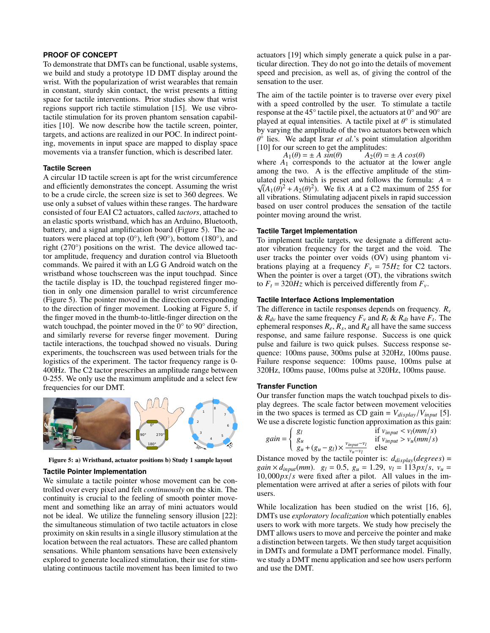## **PROOF OF CONCEPT**

To demonstrate that DMTs can be functional, usable systems, we build and study a prototype 1D DMT display around the wrist. With the popularization of wrist wearables that remain in constant, sturdy skin contact, the wrist presents a fitting space for tactile interventions. Prior studies show that wrist regions support rich tactile stimulation [\[15\]](#page-10-14). We use vibrotactile stimulation for its proven phantom sensation capabilities [\[10\]](#page-10-15). We now describe how the tactile screen, pointer, targets, and actions are realized in our POC. In indirect pointing, movements in input space are mapped to display space movements via a transfer function, which is described later.

#### **Tactile Screen**

A circular 1D tactile screen is apt for the wrist circumference and efficiently demonstrates the concept. Assuming the wrist to be a crude circle, the screen size is set to 360 degrees. We use only a subset of values within these ranges. The hardware consisted of four EAI C2 actuators, called *tactors*, attached to an elastic sports wristband, which has an Arduino, Bluetooth, battery, and a signal amplification board (Figure [5\)](#page-4-0). The actuators were placed at top  $(0^{\circ})$ , left  $(90^{\circ})$ , bottom  $(180^{\circ})$ , and right (270°) positions on the wrist. The device allowed tactor amplitude, frequency and duration control via Bluetooth commands. We paired it with an LG G Android watch on the wristband whose touchscreen was the input touchpad. Since the tactile display is 1D, the touchpad registered finger motion in only one dimension parallel to wrist circumference (Figure [5\)](#page-4-0). The pointer moved in the direction corresponding to the direction of finger movement. Looking at Figure [5,](#page-4-0) if the finger moved in the thumb-to-little-finger direction on the watch touchpad, the pointer moved in the  $0^{\circ}$  to  $90^{\circ}$  direction, and similarly reverse for reverse finger movement. During tactile interactions, the touchpad showed no visuals. During experiments, the touchscreen was used between trials for the logistics of the experiment. The tactor frequency range is 0- 400Hz. The C2 tactor prescribes an amplitude range between 0-255. We only use the maximum amplitude and a select few frequencies for our DMT.

<span id="page-4-0"></span>

Figure 5: a) Wristband, actuator positions b) Study 1 sample layout

#### **Tactile Pointer Implementation**

We simulate a tactile pointer whose movement can be controlled over every pixel and felt *continuously* on the skin. The continuity is crucial to the feeling of smooth pointer movement and something like an array of mini actuators would not be ideal. We utilize the funneling sensory illusion [\[22\]](#page-10-3): the simultaneous stimulation of two tactile actuators in close proximity on skin results in a single illusory stimulation at the location between the real actuators. These are called phantom sensations. While phantom sensations have been extensively explored to generate localized stimulation, their use for stimulating continuous tactile movement has been limited to two actuators [\[19\]](#page-10-16) which simply generate a quick pulse in a particular direction. They do not go into the details of movement speed and precision, as well as, of giving the control of the sensation to the user.

The aim of the tactile pointer is to traverse over every pixel with a speed controlled by the user. To stimulate a tactile response at the 45° tactile pixel, the actuators at 0° and 90° are played at equal intensities. A tactile pixel at  $\theta^{\circ}$  is stimulated by varying the amplitude of the two actuators between which by varying the amplitude of the two actuators between which [\[10\]](#page-10-15) for our screen to get the amplitudes: ◦ lies. We adapt Israr *et al.*'s point stimulation algorithm

 $A_1(\theta) = \pm A \sin(\theta)$   $A_2(\theta) = \pm A \cos(\theta)$ <br>where  $A_1$  corresponds to the actuator at the lower angle among the two. A is the effective amplitude of the stimulated pixel which is preset and follows the formula:  $A =$  $(4a)(\hat{\theta})^2 + A_2(\theta)^2$ . We fix *A* at a C2 maximum of 255 for lyibrations. Stimulating adjacent pixels in rapid succession all vibrations. Stimulating adjacent pixels in rapid succession based on user control produces the sensation of the tactile pointer moving around the wrist.

#### **Tactile Target Implementation**

To implement tactile targets, we designate a different actuator vibration frequency for the target and the void. The user tracks the pointer over voids (OV) using phantom vibrations playing at a frequency  $F_v = 75Hz$  for C2 tactors. When the pointer is over a target (OT), the vibrations switch to  $F_t = 320Hz$  which is perceived differently from  $F_v$ .

## **Tactile Interface Actions Implementation**

The difference in tactile responses depends on frequency. *R<sup>v</sup>* &  $R_{dv}$  have the same frequency  $F_v$  and  $R_t$  &  $R_{dt}$  have  $F_t$ . The ephemeral responses *Re*, *R<sup>s</sup>* , and *R<sup>d</sup>* all have the same success response, and same failure response. Success is one quick pulse and failure is two quick pulses. Success response sequence: 100ms pause, 300ms pulse at 320Hz, 100ms pause. Failure response sequence: 100ms pause, 100ms pulse at 320Hz, 100ms pause, 100ms pulse at 320Hz, 100ms pause.

#### **Transfer Function**

Our transfer function maps the watch touchpad pixels to display degrees. The scale factor between movement velocities in the two spaces is termed as CD gain =  $V_{display}/V_{input}$  [\[5\]](#page-10-17). We use a discrete logistic function approximation as this gain:

$$
gain = \begin{cases} g_l & \text{if } v_{input} < v_l(mm/s) \\ g_u & \text{if } v_{input} > v_u(mm/s) \\ g_u + (g_u - g_l) \times \frac{v_{input} - v_l}{v_u - v_l} & \text{else} \end{cases}
$$

Distance moved by the tactile pointer is: *ddisplay*(*degrees*) = *gain*  $\times$  *d*<sub>*input*</sub>(*mm*). *g<sub>l</sub>* = 0.5, *g<sub>u</sub>* = 1.29, *v<sub>l</sub>* = 113*px*/*s*, *v<sub>u</sub>* = 10.000*px*/*s* were fixed after a pilot. All values in the im- $10,000px/s$  were fixed after a pilot. All values in the im-<br>plementation were arrived at after a series of pilots with four plementation were arrived at after a series of pilots with four users.

While localization has been studied on the wrist [\[16,](#page-10-18) [6\]](#page-10-19), DMTs use *exploratory localization* which potentially enables users to work with more targets. We study how precisely the DMT allows users to move and perceive the pointer and make a distinction between targets. We then study target acquisition in DMTs and formulate a DMT performance model. Finally, we study a DMT menu application and see how users perform and use the DMT.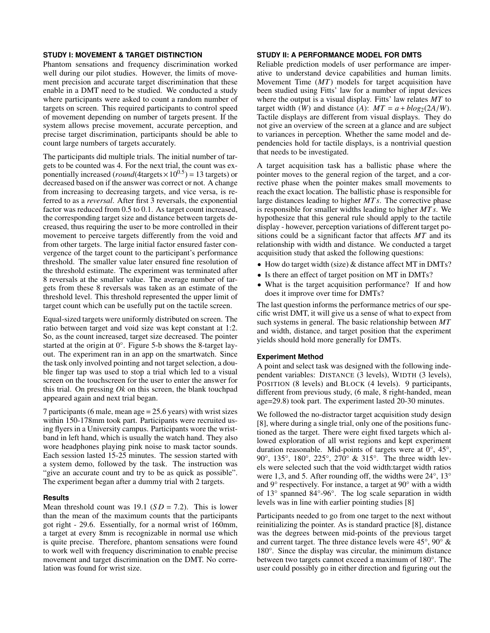# **STUDY I: MOVEMENT & TARGET DISTINCTION**

Phantom sensations and frequency discrimination worked well during our pilot studies. However, the limits of movement precision and accurate target discrimination that these enable in a DMT need to be studied. We conducted a study where participants were asked to count a random number of targets on screen. This required participants to control speed of movement depending on number of targets present. If the system allows precise movement, accurate perception, and precise target discrimination, participants should be able to count large numbers of targets accurately.

The participants did multiple trials. The initial number of targets to be counted was 4. For the next trial, the count was exponentially increased (*round*(4targets  $\times 10^{0.5}$ ) = 13 targets) or decreased based on if the answer was correct or not. A change from increasing to decreasing targets, and vice versa, is referred to as a *reversal*. After first 3 reversals, the exponential factor was reduced from 0.5 to 0.1. As target count increased, the corresponding target size and distance between targets decreased, thus requiring the user to be more controlled in their movement to perceive targets differently from the void and from other targets. The large initial factor ensured faster convergence of the target count to the participant's performance threshold. The smaller value later ensured fine resolution of the threshold estimate. The experiment was terminated after 8 reversals at the smaller value. The average number of targets from these 8 reversals was taken as an estimate of the threshold level. This threshold represented the upper limit of target count which can be usefully put on the tactile screen.

Equal-sized targets were uniformly distributed on screen. The ratio between target and void size was kept constant at 1:2. So, as the count increased, target size decreased. The pointer started at the origin at 0°. Figure [5-](#page-4-0)b shows the 8-target layout. The experiment ran in an app on the smartwatch. Since the task only involved pointing and not target selection, a double finger tap was used to stop a trial which led to a visual screen on the touchscreen for the user to enter the answer for this trial. On pressing *Ok* on this screen, the blank touchpad appeared again and next trial began.

7 participants (6 male, mean age = 25.6 years) with wrist sizes within 150-178mm took part. Participants were recruited using flyers in a University campus. Participants wore the wristband in left hand, which is usually the watch hand. They also wore headphones playing pink noise to mask tactor sounds. Each session lasted 15-25 minutes. The session started with a system demo, followed by the task. The instruction was "give an accurate count and try to be as quick as possible". The experiment began after a dummy trial with 2 targets.

## **Results**

Mean threshold count was  $19.1$  (*SD* = 7.2). This is lower than the mean of the maximum counts that the participants got right - <sup>29</sup>.6. Essentially, for a normal wrist of 160mm, a target at every 8mm is recognizable in normal use which is quite precise. Therefore, phantom sensations were found to work well with frequency discrimination to enable precise movement and target discrimination on the DMT. No correlation was found for wrist size.

# **STUDY II: A PERFORMANCE MODEL FOR DMTS**

Reliable prediction models of user performance are imperative to understand device capabilities and human limits. Movement Time (*MT*) models for target acquisition have been studied using Fitts' law for a number of input devices where the output is a visual display. Fitts' law relates *MT* to target width (*W*) and distance (*A*):  $MT = a + b \log_2(2A/W)$ . Tactile displays are different from visual displays. They do not give an overview of the screen at a glance and are subject to variances in perception. Whether the same model and dependencies hold for tactile displays, is a nontrivial question that needs to be investigated.

A target acquisition task has a ballistic phase where the pointer moves to the general region of the target, and a corrective phase when the pointer makes small movements to reach the exact location. The ballistic phase is responsible for large distances leading to higher *MT s*. The corrective phase is responsible for smaller widths leading to higher *MT s*. We hypothesize that this general rule should apply to the tactile display - however, perception variations of different target positions could be a significant factor that affects *MT* and its relationship with width and distance. We conducted a target acquisition study that asked the following questions:

- How do target width (size) & distance affect MT in DMTs?
- Is there an effect of target position on MT in DMTs?
- What is the target acquisition performance? If and how does it improve over time for DMTs?

The last question informs the performance metrics of our specific wrist DMT, it will give us a sense of what to expect from such systems in general. The basic relationship between *MT* and width, distance, and target position that the experiment yields should hold more generally for DMTs.

## **Experiment Method**

A point and select task was designed with the following independent variables: DISTANCE (3 levels), WIDTH (3 levels), POSITION (8 levels) and BLOCK (4 levels). 9 participants, different from previous study, (6 male, 8 right-handed, mean age=29.8) took part. The experiment lasted 20-30 minutes.

We followed the no-distractor target acquisition study design [\[8\]](#page-10-20), where during a single trial, only one of the positions functioned as the target. There were eight fixed targets which allowed exploration of all wrist regions and kept experiment duration reasonable. Mid-points of targets were at 0°, 45°, 90°, 135°, 180°, 225°, 270° & 315°. The three width levels were selected such that the void width:target width ratios were 1,3, and 5. After rounding off, the widths were  $24^{\circ}$ , 13° and 9° respectively. For instance, a target at 90° with a width of 13° spanned 84°-96°. The log scale separation in width levels was in line with earlier pointing studies [\[8\]](#page-10-20)

Participants needed to go from one target to the next without reinitializing the pointer. As is standard practice [\[8\]](#page-10-20), distance was the degrees between mid-points of the previous target and current target. The three distance levels were 45°, 90° & 180°. Since the display was circular, the minimum distance between two targets cannot exceed a maximum of 180°. The user could possibly go in either direction and figuring out the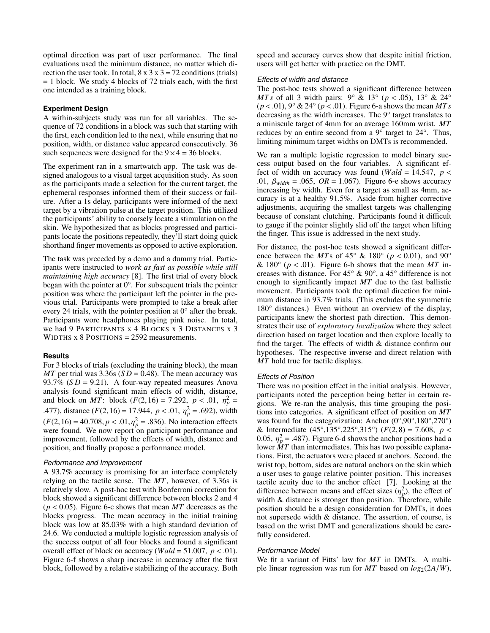optimal direction was part of user performance. The final evaluations used the minimum distance, no matter which direction the user took. In total,  $8 \times 3 \times 3 = 72$  conditions (trials)  $= 1$  block. We study 4 blocks of 72 trials each, with the first one intended as a training block.

## **Experiment Design**

A within-subjects study was run for all variables. The sequence of 72 conditions in a block was such that starting with the first, each condition led to the next, while ensuring that no position, width, or distance value appeared consecutively. 36 such sequences were designed for the  $9 \times 4 = 36$  blocks.

The experiment ran in a smartwatch app. The task was designed analogous to a visual target acquisition study. As soon as the participants made a selection for the current target, the ephemeral responses informed them of their success or failure. After a 1s delay, participants were informed of the next target by a vibration pulse at the target position. This utilized the participants' ability to coarsely locate a stimulation on the skin. We hypothesized that as blocks progressed and participants locate the positions repeatedly, they'll start doing quick shorthand finger movements as opposed to active exploration.

The task was preceded by a demo and a dummy trial. Participants were instructed to *work as fast as possible while still maintaining high accuracy* [\[8\]](#page-10-20). The first trial of every block began with the pointer at 0°. For subsequent trials the pointer position was where the participant left the pointer in the previous trial. Participants were prompted to take a break after every 24 trials, with the pointer position at 0° after the break. Participants wore headphones playing pink noise. In total, we had 9 PARTICIPANTS x 4 BLOCKS x 3 DISTANCES x 3 WIDTHS x 8 POSITIONS = 2592 measurements.

#### **Results**

For 3 blocks of trials (excluding the training block), the mean *MT* per trial was  $3.36s$  (*SD* = 0.48). The mean accuracy was 93.7% ( $SD = 9.21$ ). A four-way repeated measures Anova analysis found significant main effects of width, distance, and block on *MT*: block (*F*(2,16) = 7.292, *p* < .01,  $\eta_p^2 =$ <br>*A*<sup>77</sup>) distance (*F*(2,16) = 17.044, p < 01,  $\chi^2 = 602$ ) width .477), distance  $(F(2, 16) = 17.944, p < .01, \eta_p^2 = .692)$ , width  $(F(2, 16) = 40.708, p < .01, \eta_p^2 = .836)$ . No interaction effects were found We now report on participant performance and were found. We now report on participant performance and improvement, followed by the effects of width, distance and position, and finally propose a performance model.

#### *Performance and Improvement*

A 93.7% accuracy is promising for an interface completely relying on the tactile sense. The *MT*, however, of 3.36s is relatively slow. A post-hoc test with Bonferroni correction for block showed a significant difference between blocks 2 and 4 (*<sup>p</sup>* < <sup>0</sup>.05). Figure [6-](#page-7-0)c shows that mean *MT* decreases as the blocks progress. The mean accuracy in the initial training block was low at 85.03% with a high standard deviation of 24.6. We conducted a multiple logistic regression analysis of the success output of all four blocks and found a significant overall effect of block on accuracy (*Wald* <sup>=</sup> <sup>51</sup>.007, *<sup>p</sup>* < .01). Figure [6-](#page-7-0)f shows a sharp increase in accuracy after the first block, followed by a relative stabilizing of the accuracy. Both

speed and accuracy curves show that despite initial friction, users will get better with practice on the DMT.

#### *Effects of width and distance*

The post-hoc tests showed a significant difference between *MT* s of all 3 width pairs:  $9^{\circ}$  &  $13^{\circ}$  ( $p < .05$ ),  $13^{\circ}$  &  $24^{\circ}$ (*<sup>p</sup>* < .01), 9° & 24° (*<sup>p</sup>* < .01). Figure [6-](#page-7-0)a shows the mean *MT s* decreasing as the width increases. The 9° target translates to a miniscule target of 4mm for an average 160mm wrist. *MT* reduces by an entire second from a 9° target to 24°. Thus, limiting minimum target widths on DMTs is recommended.

We ran a multiple logistic regression to model binary success output based on the four variables. A significant effect of width on accuracy was found (*Wald* = 14.547,  $p$  < .01,  $\beta_{width} = .065$ ,  $OR = 1.067$ ). Figure [6-](#page-7-0)e shows accuracy increasing by width. Even for a target as small as 4mm, accuracy is at a healthy 91.5%. Aside from higher corrective adjustments, acquiring the smallest targets was challenging because of constant clutching. Participants found it difficult to gauge if the pointer slightly slid off the target when lifting the finger. This issue is addressed in the next study.

For distance, the post-hoc tests showed a significant difference between the *MT*s of 45° & 180° ( $p < 0.01$ ), and 90° & 180 $\degree$  ( $p < .01$ ). Figure [6-](#page-7-0)b shows that the mean *MT* increases with distance. For 45° & 90°, a 45° difference is not enough to significantly impact *MT* due to the fast ballistic movement. Participants took the optimal direction for minimum distance in 93.7% trials. (This excludes the symmetric 180° distances.) Even without an overview of the display, participants knew the shortest path direction. This demonstrates their use of *exploratory localization* where they select direction based on target location and then explore locally to find the target. The effects of width & distance confirm our hypotheses. The respective inverse and direct relation with *MT* hold true for tactile displays.

#### *Effects of Position*

There was no position effect in the initial analysis. However, participants noted the perception being better in certain regions. We re-ran the analysis, this time grouping the positions into categories. A significant effect of position on *MT* was found for the categorization: Anchor  $(0^{\circ},90^{\circ},180^{\circ},270^{\circ})$ & Intermediate (45°,135°,225°,315°) (*F*(2,8) <sup>=</sup> <sup>7</sup>.608, *<sup>p</sup>* < 0.05,  $\eta_p^2$  = .487). Figure [6-](#page-7-0)d shows the anchor positions had a lower MT than intermediates. This has two possible explanalower  $\dot{M}$ T than intermediates. This has two possible explanations. First, the actuators were placed at anchors. Second, the wrist top, bottom, sides are natural anchors on the skin which a user uses to gauge relative pointer position. This increases tactile acuity due to the anchor effect [\[7\]](#page-10-21). Looking at the difference between means and effect sizes  $(\eta_p^2)$ , the effect of width  $\&$  distance is stronger than position. Therefore, while width & distance is stronger than position. Therefore, while position should be a design consideration for DMTs, it does not supersede width & distance. The assertion, of course, is based on the wrist DMT and generalizations should be carefully considered.

#### *Performance Model*

We fit a variant of Fitts' law for *MT* in DMTs. A multiple linear regression was run for  $MT$  based on  $log_2(2A/W)$ ,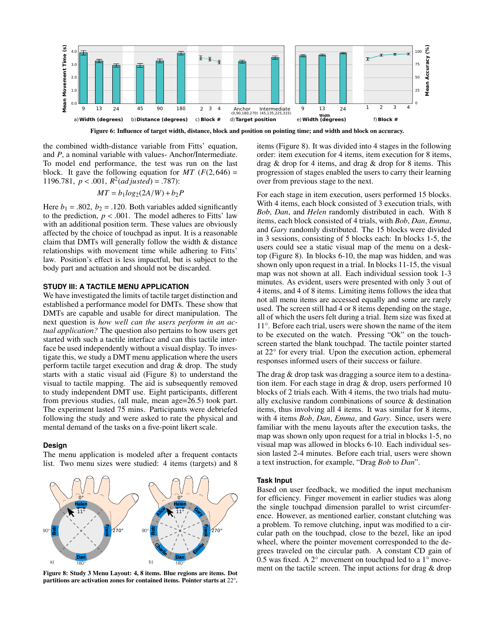<span id="page-7-0"></span>

the combined width-distance variable from Fitts' equation, and *P*, a nominal variable with values- Anchor/Intermediate. To model end performance, the test was run on the last block. It gave the following equation for  $MT$  ( $F(2,646) =$ 

1196.781, 
$$
p < .001
$$
,  $R^2$ (*adjusted*) = .787):  
 $MT = b_1 log_2(2A/W) + b_2P$ 

Here  $b_1 = .802$ ,  $b_2 = .120$ . Both variables added significantly to the prediction,  $p < .001$ . The model adheres to Fitts' law with an additional position term. These values are obviously affected by the choice of touchpad as input. It is a reasonable claim that DMTs will generally follow the width & distance relationships with movement time while adhering to Fitts' law. Position's effect is less impactful, but is subject to the body part and actuation and should not be discarded.

## **STUDY III: A TACTILE MENU APPLICATION**

We have investigated the limits of tactile target distinction and established a performance model for DMTs. These show that DMTs are capable and usable for direct manipulation. The next question is *how well can the users perform in an actual application?* The question also pertains to how users get started with such a tactile interface and can this tactile interface be used independently without a visual display. To investigate this, we study a DMT menu application where the users perform tactile target execution and drag & drop. The study starts with a static visual aid (Figure [8\)](#page-7-1) to understand the visual to tactile mapping. The aid is subsequently removed to study independent DMT use. Eight participants, different from previous studies, (all male, mean age=26.5) took part. The experiment lasted 75 mins. Participants were debriefed following the study and were asked to rate the physical and mental demand of the tasks on a five-point likert scale.

#### **Design**

The menu application is modeled after a frequent contacts list. Two menu sizes were studied: 4 items (targets) and 8

<span id="page-7-1"></span>

Figure 8: Study 3 Menu Layout: 4, 8 items. Blue regions are items. Dot partitions are activation zones for contained items. Pointer starts at 22°.

items (Figure [8\)](#page-7-1). It was divided into 4 stages in the following order: item execution for 4 items, item execution for 8 items, drag & drop for 4 items, and drag & drop for 8 items. This progression of stages enabled the users to carry their learning over from previous stage to the next.

For each stage in item execution, users performed 15 blocks. With 4 items, each block consisted of 3 execution trials, with *Bob*, *Dan*, and *Helen* randomly distributed in each. With 8 items, each block consisted of 4 trials, with *Bob*, *Dan*, *Emma*, and *Gary* randomly distributed. The 15 blocks were divided in 3 sessions, consisting of 5 blocks each: In blocks 1-5, the users could see a static visual map of the menu on a desktop (Figure [8\)](#page-7-1). In blocks 6-10, the map was hidden, and was shown only upon request in a trial. In blocks 11-15, the visual map was not shown at all. Each individual session took 1-3 minutes. As evident, users were presented with only 3 out of 4 items, and 4 of 8 items. Limiting items follows the idea that not all menu items are accessed equally and some are rarely used. The screen still had 4 or 8 items depending on the stage, all of which the users felt during a trial. Item size was fixed at 11°. Before each trial, users were shown the name of the item to be executed on the watch. Pressing "Ok" on the touchscreen started the blank touchpad. The tactile pointer started at 22° for every trial. Upon the execution action, ephemeral responses informed users of their success or failure.

The drag & drop task was dragging a source item to a destination item. For each stage in drag & drop, users performed 10 blocks of 2 trials each. With 4 items, the two trials had mutually exclusive random combinations of source & destination items, thus involving all 4 items. It was similar for 8 items, with 4 items *Bob*, *Dan*, *Emma*, and *Gary*. Since, users were familiar with the menu layouts after the execution tasks, the map was shown only upon request for a trial in blocks 1-5, no visual map was allowed in blocks 6-10. Each individual session lasted 2-4 minutes. Before each trial, users were shown a text instruction, for example, "Drag *Bob* to *Dan*".

## **Task Input**

Based on user feedback, we modified the input mechanism for efficiency. Finger movement in earlier studies was along the single touchpad dimension parallel to wrist circumference. However, as mentioned earlier, constant clutching was a problem. To remove clutching, input was modified to a circular path on the touchpad, close to the bezel, like an ipod wheel, where the pointer movement corresponded to the degrees traveled on the circular path. A constant CD gain of 0.5 was fixed. A 2° movement on touchpad led to a 1° movement on the tactile screen. The input actions for drag & drop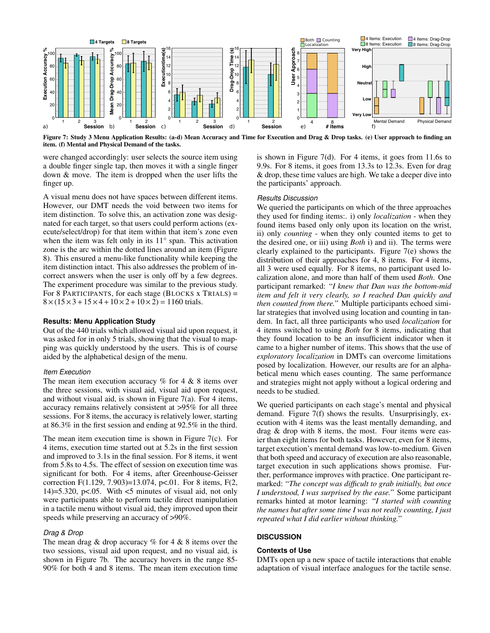<span id="page-8-0"></span>

Figure 7: Study 3 Menu Application Results: (a-d) Mean Accuracy and Time for Execution and Drag & Drop tasks. (e) User approach to finding an item. (f) Mental and Physical Demand of the tasks.

were changed accordingly: user selects the source item using a double finger single tap, then moves it with a single finger down & move. The item is dropped when the user lifts the finger up.

A visual menu does not have spaces between different items. However, our DMT needs the void between two items for item distinction. To solve this, an activation zone was designated for each target, so that users could perform actions (execute/select/drop) for that item within that item's zone even when the item was felt only in its 11° span. This activation zone is the arc within the dotted lines around an item (Figure [8\)](#page-7-1). This ensured a menu-like functionality while keeping the item distinction intact. This also addresses the problem of incorrect answers when the user is only off by a few degrees. The experiment procedure was similar to the previous study. For 8 PARTICIPANTS, for each stage (BLOCKS x TRIALS) =  $8 \times (15 \times 3 + 15 \times 4 + 10 \times 2 + 10 \times 2) = 1160$  trials.

## **Results: Menu Application Study**

Out of the 440 trials which allowed visual aid upon request, it was asked for in only 5 trials, showing that the visual to mapping was quickly understood by the users. This is of course aided by the alphabetical design of the menu.

#### *Item Execution*

The mean item execution accuracy  $\%$  for 4  $\&$  8 items over the three sessions, with visual aid, visual aid upon request, and without visual aid, is shown in Figure  $7(a)$  $7(a)$ . For 4 items, accuracy remains relatively consistent at >95% for all three sessions. For 8 items, the accuracy is relatively lower, starting at 86.3% in the first session and ending at 92.5% in the third.

The mean item execution time is shown in Figure [7\(](#page-8-0)c). For 4 items, execution time started out at 5.2s in the first session and improved to 3.1s in the final session. For 8 items, it went from 5.8s to 4.5s. The effect of session on execution time was significant for both. For 4 items, after Greenhouse-Geisser correction F(1.129, 7.903)=13.074, p<.01. For 8 items, F(2, 14 $=$ 5.320, p<.05. With  $<$ 5 minutes of visual aid, not only were participants able to perform tactile direct manipulation in a tactile menu without visual aid, they improved upon their speeds while preserving an accuracy of >90%.

## *Drag & Drop*

The mean drag  $&$  drop accuracy  $\%$  for 4  $&$  8 items over the two sessions, visual aid upon request, and no visual aid, is shown in Figure [7b](#page-8-0). The accuracy hovers in the range 85- 90% for both 4 and 8 items. The mean item execution time is shown in Figure [7\(](#page-8-0)d). For 4 items, it goes from 11.6s to 9.9s. For 8 items, it goes from 13.3s to 12.3s. Even for drag & drop, these time values are high. We take a deeper dive into the participants' approach.

## *Results Discussion*

We queried the participants on which of the three approaches they used for finding items:. i) only *localization* - when they found items based only only upon its location on the wrist, ii) only *counting* - when they only counted items to get to the desired one, or iii) using *Both* i) and ii). The terms were clearly explained to the participants. Figure [7\(](#page-8-0)e) shows the distribution of their approaches for 4, 8 items. For 4 items, all 3 were used equally. For 8 items, no participant used localization alone, and more than half of them used *Both*. One participant remarked: "*I knew that Dan was the bottom-mid item and felt it very clearly, so I reached Dan quickly and then counted from there.*" Multiple participants echoed similar strategies that involved using location and counting in tandem. In fact, all three participants who used *localization* for 4 items switched to using *Both* for 8 items, indicating that they found location to be an insufficient indicator when it came to a higher number of items. This shows that the use of *exploratory localization* in DMTs can overcome limitations posed by localization. However, our results are for an alphabetical menu which eases counting. The same performance and strategies might not apply without a logical ordering and needs to be studied.

We queried participants on each stage's mental and physical demand. Figure [7\(](#page-8-0)f) shows the results. Unsurprisingly, execution with 4 items was the least mentally demanding, and drag & drop with 8 items, the most. Four items were easier than eight items for both tasks. However, even for 8 items, target execution's mental demand was low-to-medium. Given that both speed and accuracy of execution are also reasonable, target execution in such applications shows promise. Further, performance improves with practice. One participant remarked: "*The concept was difficult to grab initially, but once I understood, I was surprised by the ease.*" Some participant remarks hinted at motor learning: "*I started with counting the names but after some time I was not really counting, I just repeated what I did earlier without thinking.*"

# **DISCUSSION**

#### **Contexts of Use**

DMTs open up a new space of tactile interactions that enable adaptation of visual interface analogues for the tactile sense.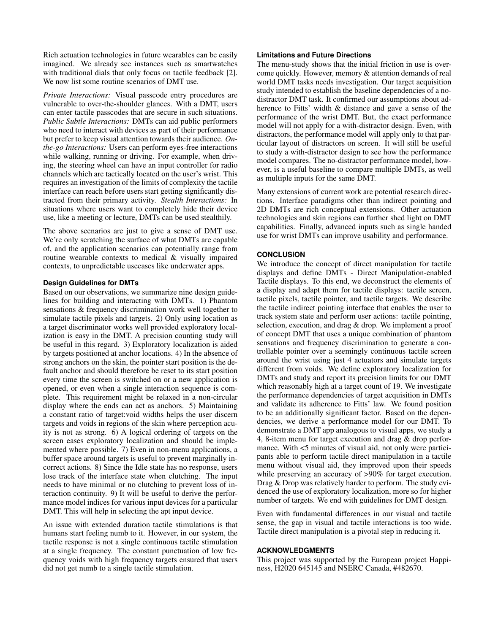Rich actuation technologies in future wearables can be easily imagined. We already see instances such as smartwatches with traditional dials that only focus on tactile feedback [\[2\]](#page-10-22). We now list some routine scenarios of DMT use.

*Private Interactions:* Visual passcode entry procedures are vulnerable to over-the-shoulder glances. With a DMT, users can enter tactile passcodes that are secure in such situations. *Public Subtle Interactions:* DMTs can aid public performers who need to interact with devices as part of their performance but prefer to keep visual attention towards their audience. *Onthe-go Interactions:* Users can perform eyes-free interactions while walking, running or driving. For example, when driving, the steering wheel can have an input controller for radio channels which are tactically located on the user's wrist. This requires an investigation of the limits of complexity the tactile interface can reach before users start getting significantly distracted from their primary activity. *Stealth Interactions:* In situations where users want to completely hide their device use, like a meeting or lecture, DMTs can be used stealthily.

The above scenarios are just to give a sense of DMT use. We're only scratching the surface of what DMTs are capable of, and the application scenarios can potentially range from routine wearable contexts to medical & visually impaired contexts, to unpredictable usecases like underwater apps.

# **Design Guidelines for DMTs**

Based on our observations, we summarize nine design guidelines for building and interacting with DMTs. 1) Phantom sensations & frequency discrimination work well together to simulate tactile pixels and targets. 2) Only using location as a target discriminator works well provided exploratory localization is easy in the DMT. A precision counting study will be useful in this regard. 3) Exploratory localization is aided by targets positioned at anchor locations. 4) In the absence of strong anchors on the skin, the pointer start position is the default anchor and should therefore be reset to its start position every time the screen is switched on or a new application is opened, or even when a single interaction sequence is complete. This requirement might be relaxed in a non-circular display where the ends can act as anchors. 5) Maintaining a constant ratio of target:void widths helps the user discern targets and voids in regions of the skin where perception acuity is not as strong. 6) A logical ordering of targets on the screen eases exploratory localization and should be implemented where possible. 7) Even in non-menu applications, a buffer space around targets is useful to prevent marginally incorrect actions. 8) Since the Idle state has no response, users lose track of the interface state when clutching. The input needs to have minimal or no clutching to prevent loss of interaction continuity. 9) It will be useful to derive the performance model indices for various input devices for a particular DMT. This will help in selecting the apt input device.

An issue with extended duration tactile stimulations is that humans start feeling numb to it. However, in our system, the tactile response is not a single continuous tactile stimulation at a single frequency. The constant punctuation of low frequency voids with high frequency targets ensured that users did not get numb to a single tactile stimulation.

# **Limitations and Future Directions**

The menu-study shows that the initial friction in use is overcome quickly. However, memory & attention demands of real world DMT tasks needs investigation. Our target acquisition study intended to establish the baseline dependencies of a nodistractor DMT task. It confirmed our assumptions about adherence to Fitts' width & distance and gave a sense of the performance of the wrist DMT. But, the exact performance model will not apply for a with-distractor design. Even, with distractors, the performance model will apply only to that particular layout of distractors on screen. It will still be useful to study a with-distractor design to see how the performance model compares. The no-distractor performance model, however, is a useful baseline to compare multiple DMTs, as well as multiple inputs for the same DMT.

Many extensions of current work are potential research directions. Interface paradigms other than indirect pointing and 2D DMTs are rich conceptual extensions. Other actuation technologies and skin regions can further shed light on DMT capabilities. Finally, advanced inputs such as single handed use for wrist DMTs can improve usability and performance.

# **CONCLUSION**

We introduce the concept of direct manipulation for tactile displays and define DMTs - Direct Manipulation-enabled Tactile displays. To this end, we deconstruct the elements of a display and adapt them for tactile displays: tactile screen, tactile pixels, tactile pointer, and tactile targets. We describe the tactile indirect pointing interface that enables the user to track system state and perform user actions: tactile pointing, selection, execution, and drag & drop. We implement a proof of concept DMT that uses a unique combination of phantom sensations and frequency discrimination to generate a controllable pointer over a seemingly continuous tactile screen around the wrist using just 4 actuators and simulate targets different from voids. We define exploratory localization for DMTs and study and report its precision limits for our DMT which reasonably high at a target count of 19. We investigate the performance dependencies of target acquisition in DMTs and validate its adherence to Fitts' law. We found position to be an additionally significant factor. Based on the dependencies, we derive a performance model for our DMT. To demonstrate a DMT app analogous to visual apps, we study a 4, 8-item menu for target execution and drag & drop performance. With  $\leq$ 5 minutes of visual aid, not only were participants able to perform tactile direct manipulation in a tactile menu without visual aid, they improved upon their speeds while preserving an accuracy of  $>90\%$  for target execution. Drag & Drop was relatively harder to perform. The study evidenced the use of exploratory localization, more so for higher number of targets. We end with guidelines for DMT design.

Even with fundamental differences in our visual and tactile sense, the gap in visual and tactile interactions is too wide. Tactile direct manipulation is a pivotal step in reducing it.

## **ACKNOWLEDGMENTS**

This project was supported by the European project Happiness, H2020 645145 and NSERC Canada, #482670.